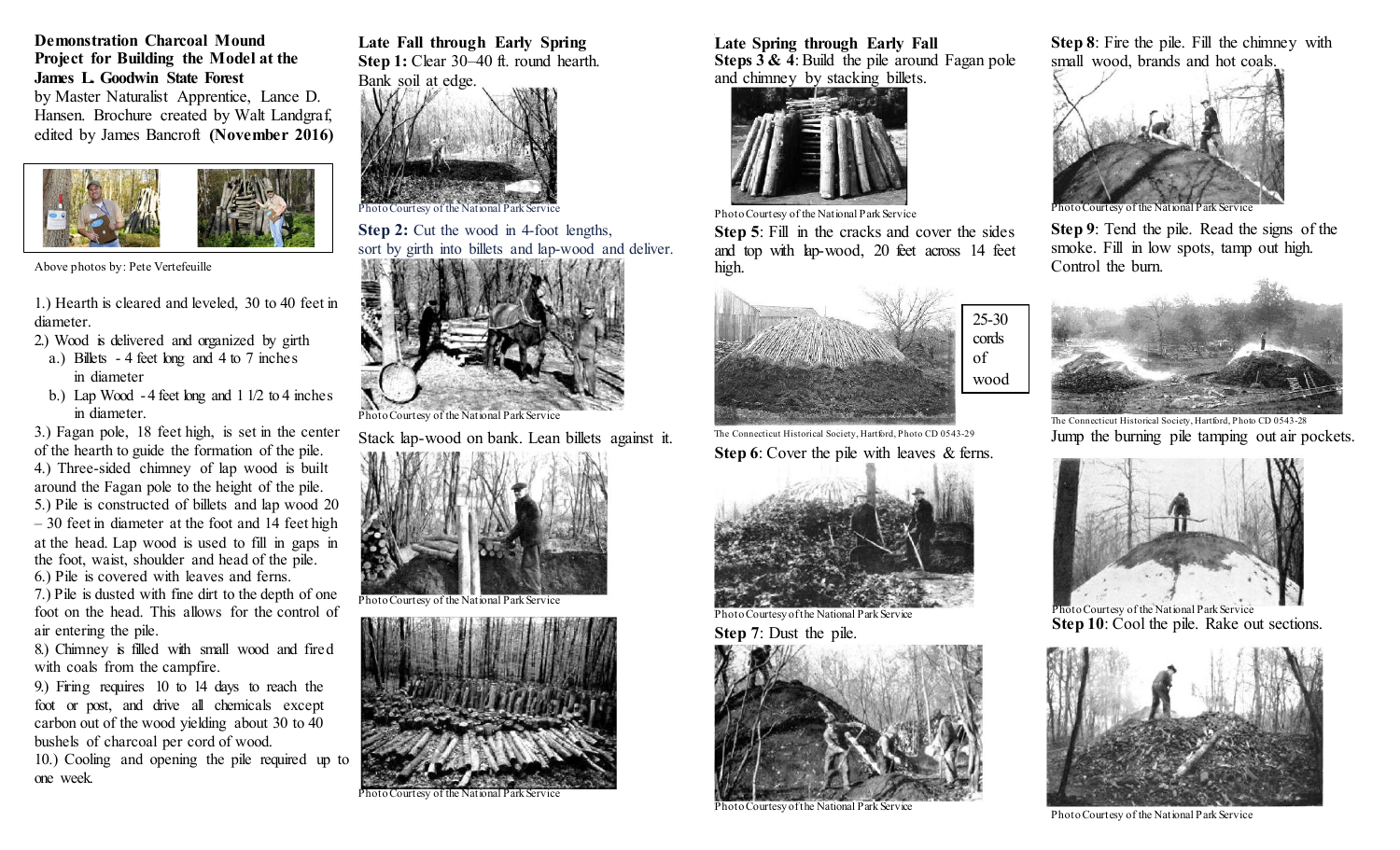# **Demonstration Charcoal Mound Project for Building the Model at the James L. Goodwin State Forest**

by Master Naturalist Apprentice, Lance D. Hansen. Brochure created by Walt Landgraf, edited by James Bancroft **(November 2016)**



Above photos by: Pete Vertefeuille

1.) Hearth is cleared and leveled, 30 to 40 feet in diameter.

- 2.) Wood is delivered and organized by girth
- a.) Billets 4 feet long and 4 to 7 inches in diameter
- b.) Lap Wood  $-4$  feet long and  $11/2$  to  $4$  inches in diameter.

3.) Fagan pole, 18 feet high, is set in the center of the hearth to guide the formation of the pile. 4.) Three-sided chimney of lap wood is built around the Fagan pole to the height of the pile. 5.) Pile is constructed of billets and lap wood 20 – 30 feet in diameter at the foot and 14 feet high at the head. Lap wood is used to fill in gaps in the foot, waist, shoulder and head of the pile. 6.) Pile is covered with leaves and ferns.

7.) Pile is dusted with fine dirt to the depth of one foot on the head. This allows for the control of air entering the pile.

8.) Chimney is filled with small wood and fired with coals from the campfire.

9.) Firing requires 10 to 14 days to reach the foot or post, and drive all chemicals except carbon out of the wood yielding about 30 to 40 bushels of charcoal per cord of wood.

10.) Cooling and opening the pile required up to one week.

**Late Fall through Early Spring Step 1:** Clear 30–40 ft. round hearth.



**Step 2:** Cut the wood in 4-foot lengths, sort by girth into billets and lap-wood and deliver.



Photo Courtesy of the National Park Service

Stack lap-wood on bank. Lean billets against it.



Photo Courtesy of the National Park Service



Courtesy of the National Park Service

**Late Spring through Early Fall Steps 3 & 4**: Build the pile around Fagan pole and chimney by stacking billets.



Photo Courtesy of the National Park Service

**Step 5**: Fill in the cracks and cover the sides and top with lap-wood, 20 feet across 14 feet high.



The Connecticut Historical Society, Hartford, Photo CD 0543-29 **Step 6**: Cover the pile with leaves & ferns.



Photo Courtesy of the National Park Service



Photo Courtesy of the National Park Service

**Step 8**: Fire the pile. Fill the chimney with small wood, brands and hot coals.



hoto Courtesy of the National

**Step 9**: Tend the pile. Read the signs of the smoke. Fill in low spots, tamp out high. Control the burn.



The Connecticut Historical Society, Hartford, Photo CD 0543-28 Jump the burning pile tamping out air pockets.



Photo Courtesy of the National Park Service **Step 10**: Cool the pile. Rake out sections.



Photo Courtesy of the National Park Service